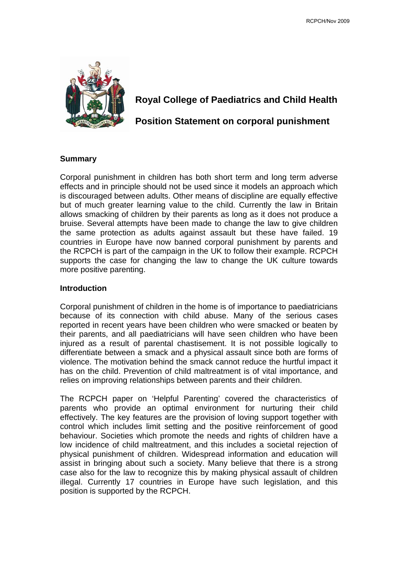

# **Royal College of Paediatrics and Child Health**

# **Position Statement on corporal punishment**

# **Summary**

Corporal punishment in children has both short term and long term adverse effects and in principle should not be used since it models an approach which is discouraged between adults. Other means of discipline are equally effective but of much greater learning value to the child. Currently the law in Britain allows smacking of children by their parents as long as it does not produce a bruise. Several attempts have been made to change the law to give children the same protection as adults against assault but these have failed. 19 countries in Europe have now banned corporal punishment by parents and the RCPCH is part of the campaign in the UK to follow their example. RCPCH supports the case for changing the law to change the UK culture towards more positive parenting.

### **Introduction**

Corporal punishment of children in the home is of importance to paediatricians because of its connection with child abuse. Many of the serious cases reported in recent years have been children who were smacked or beaten by their parents, and all paediatricians will have seen children who have been injured as a result of parental chastisement. It is not possible logically to differentiate between a smack and a physical assault since both are forms of violence. The motivation behind the smack cannot reduce the hurtful impact it has on the child. Prevention of child maltreatment is of vital importance, and relies on improving relationships between parents and their children.

The RCPCH paper on 'Helpful Parenting' covered the characteristics of parents who provide an optimal environment for nurturing their child effectively. The key features are the provision of loving support together with control which includes limit setting and the positive reinforcement of good behaviour. Societies which promote the needs and rights of children have a low incidence of child maltreatment, and this includes a societal rejection of physical punishment of children. Widespread information and education will assist in bringing about such a society. Many believe that there is a strong case also for the law to recognize this by making physical assault of children illegal. Currently 17 countries in Europe have such legislation, and this position is supported by the RCPCH.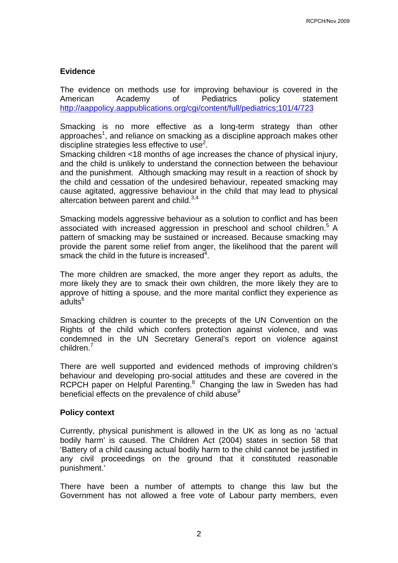# **Evidence**

The evidence on methods use for improving behaviour is covered in the American Academy of Pediatrics policy statement http://aappolicy.aappublications.org/cgi/content/full/pediatrics;101/4/723

Smacking is no more effective as a long-term strategy than other approaches<sup>1</sup>, and reliance on smacking as a discipline approach makes other discipline strategies less effective to use<sup>2</sup>.

Smacking children <18 months of age increases the chance of physical injury, and the child is unlikely to understand the connection between the behaviour and the punishment. Although smacking may result in a reaction of shock by the child and cessation of the undesired behaviour, repeated smacking may cause agitated, aggressive behaviour in the child that may lead to physical altercation between parent and child. $3,4$ 

Smacking models aggressive behaviour as a solution to conflict and has been associated with increased aggression in preschool and school children.<sup>5</sup> A pattern of smacking may be sustained or increased. Because smacking may provide the parent some relief from anger, the likelihood that the parent will smack the child in the future is increased $4$ .

The more children are smacked, the more anger they report as adults, the more likely they are to smack their own children, the more likely they are to approve of hitting a spouse, and the more marital conflict they experience as adults<sup>6</sup>

Smacking children is counter to the precepts of the UN Convention on the Rights of the child which confers protection against violence, and was condemned in the UN Secretary General's report on violence against children.<sup>7</sup>

There are well supported and evidenced methods of improving children's behaviour and developing pro-social attitudes and these are covered in the RCPCH paper on Helpful Parenting.<sup>8</sup> Changing the law in Sweden has had beneficial effects on the prevalence of child abuse<sup>9</sup>

### **Policy context**

Currently, physical punishment is allowed in the UK as long as no 'actual bodily harm' is caused. The Children Act (2004) states in section 58 that 'Battery of a child causing actual bodily harm to the child cannot be justified in any civil proceedings on the ground that it constituted reasonable punishment.'

There have been a number of attempts to change this law but the Government has not allowed a free vote of Labour party members, even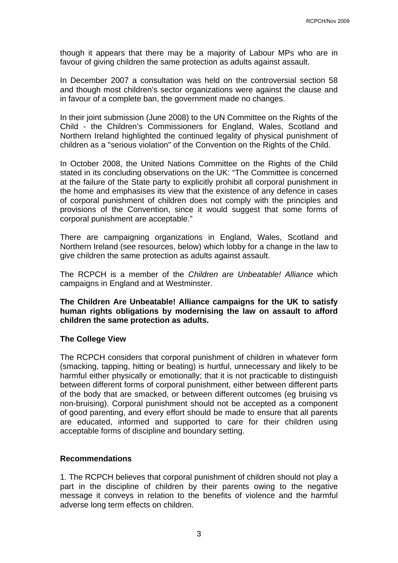though it appears that there may be a majority of Labour MPs who are in favour of giving children the same protection as adults against assault.

In December 2007 a consultation was held on the controversial section 58 and though most children's sector organizations were against the clause and in favour of a complete ban, the government made no changes.

In their joint submission (June 2008) to the UN Committee on the Rights of the Child - the Children's Commissioners for England, Wales, Scotland and Northern Ireland highlighted the continued legality of physical punishment of children as a "serious violation" of the Convention on the Rights of the Child.

In October 2008, the United Nations Committee on the Rights of the Child stated in its concluding observations on the UK: "The Committee is concerned at the failure of the State party to explicitly prohibit all corporal punishment in the home and emphasises its view that the existence of any defence in cases of corporal punishment of children does not comply with the principles and provisions of the Convention, since it would suggest that some forms of corporal punishment are acceptable."

There are campaigning organizations in England, Wales, Scotland and Northern Ireland (see resources, below) which lobby for a change in the law to give children the same protection as adults against assault.

The RCPCH is a member of the *Children are Unbeatable! Alliance* which campaigns in England and at Westminster.

## **The Children Are Unbeatable! Alliance campaigns for the UK to satisfy human rights obligations by modernising the law on assault to afford children the same protection as adults.**

### **The College View**

The RCPCH considers that corporal punishment of children in whatever form (smacking, tapping, hitting or beating) is hurtful, unnecessary and likely to be harmful either physically or emotionally; that it is not practicable to distinguish between different forms of corporal punishment, either between different parts of the body that are smacked, or between different outcomes (eg bruising vs non-bruising). Corporal punishment should not be accepted as a component of good parenting, and every effort should be made to ensure that all parents are educated, informed and supported to care for their children using acceptable forms of discipline and boundary setting.

### **Recommendations**

1. The RCPCH believes that corporal punishment of children should not play a part in the discipline of children by their parents owing to the negative message it conveys in relation to the benefits of violence and the harmful adverse long term effects on children.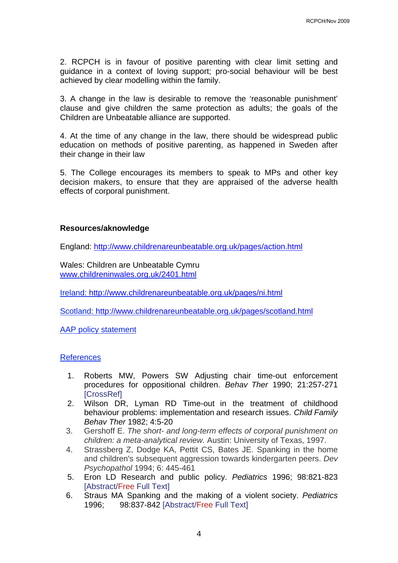2. RCPCH is in favour of positive parenting with clear limit setting and guidance in a context of loving support; pro-social behaviour will be best achieved by clear modelling within the family.

3. A change in the law is desirable to remove the 'reasonable punishment' clause and give children the same protection as adults; the goals of the Children are Unbeatable alliance are supported.

4. At the time of any change in the law, there should be widespread public education on methods of positive parenting, as happened in Sweden after their change in their law

5. The College encourages its members to speak to MPs and other key decision makers, to ensure that they are appraised of the adverse health effects of corporal punishment.

# **Resources/aknowledge**

England: http://www.childrenareunbeatable.org.uk/pages/action.html

Wales: Children are Unbeatable Cymru www.childreninwales.org.uk/2401.html

Ireland: http://www.childrenareunbeatable.org.uk/pages/ni.html

Scotland: http://www.childrenareunbeatable.org.uk/pages/scotland.html

AAP policy statement

### References

- 1. Roberts MW, Powers SW Adjusting chair time-out enforcement procedures for oppositional children. *Behav Ther* 1990; 21:257-271 **[CrossRef]**
- 2. Wilson DR, Lyman RD Time-out in the treatment of childhood behaviour problems: implementation and research issues. *Child Family Behav Ther* 1982; 4:5-20
- 3. Gershoff E. *The short- and long-term effects of corporal punishment on children: a meta-analytical review.* Austin: University of Texas, 1997.
- 4. Strassberg Z, Dodge KA, Pettit CS, Bates JE. Spanking in the home and children's subsequent aggression towards kindergarten peers. *Dev Psychopathol* 1994; 6: 445-461
- 5. Eron LD Research and public policy. *Pediatrics* 1996; 98:821-823 [Abstract/Free Full Text]
- 6. Straus MA Spanking and the making of a violent society. *Pediatrics* 1996; 98:837-842 [Abstract/Free Full Text]